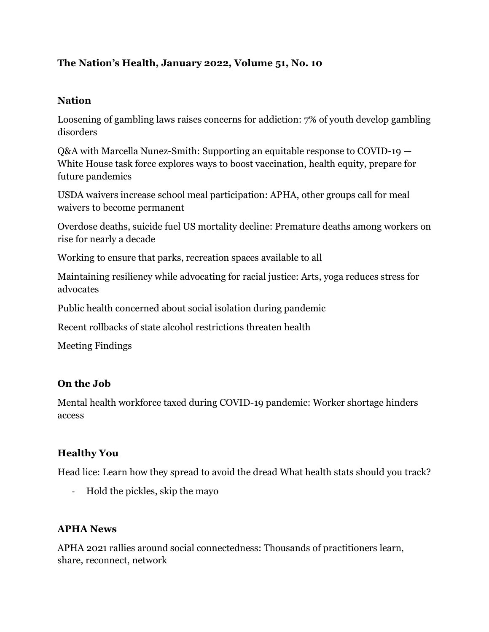#### **The Nation's Health, January 2022, Volume 51, No. 10**

#### **Nation**

Loosening of gambling laws raises concerns for addiction: 7% of youth develop gambling disorders

Q&A with Marcella Nunez-Smith: Supporting an equitable response to COVID-19 — White House task force explores ways to boost vaccination, health equity, prepare for future pandemics

USDA waivers increase school meal participation: APHA, other groups call for meal waivers to become permanent

Overdose deaths, suicide fuel US mortality decline: Premature deaths among workers on rise for nearly a decade

Working to ensure that parks, recreation spaces available to all

Maintaining resiliency while advocating for racial justice: Arts, yoga reduces stress for advocates

Public health concerned about social isolation during pandemic

Recent rollbacks of state alcohol restrictions threaten health

Meeting Findings

#### **On the Job**

Mental health workforce taxed during COVID-19 pandemic: Worker shortage hinders access

#### **Healthy You**

Head lice: Learn how they spread to avoid the dread What health stats should you track?

- Hold the pickles, skip the mayo

#### **APHA News**

APHA 2021 rallies around social connectedness: Thousands of practitioners learn, share, reconnect, network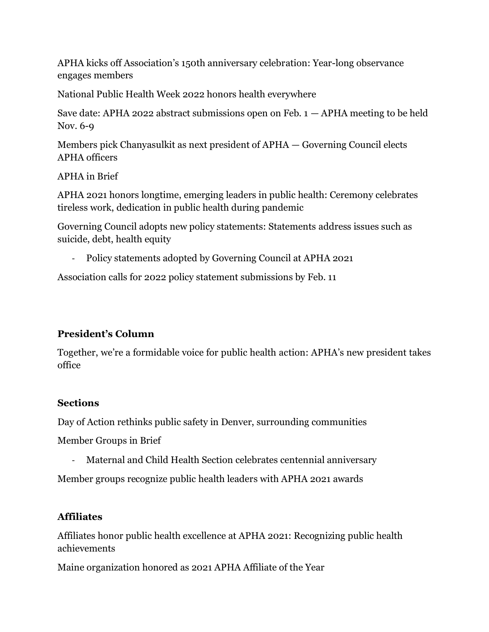APHA kicks off Association's 150th anniversary celebration: Year-long observance engages members

National Public Health Week 2022 honors health everywhere

Save date: APHA 2022 abstract submissions open on Feb.  $1 - APHA$  meeting to be held Nov. 6-9

Members pick Chanyasulkit as next president of APHA — Governing Council elects APHA officers

APHA in Brief

APHA 2021 honors longtime, emerging leaders in public health: Ceremony celebrates tireless work, dedication in public health during pandemic

Governing Council adopts new policy statements: Statements address issues such as suicide, debt, health equity

- Policy statements adopted by Governing Council at APHA 2021

Association calls for 2022 policy statement submissions by Feb. 11

## **President's Column**

Together, we're a formidable voice for public health action: APHA's new president takes office

## **Sections**

Day of Action rethinks public safety in Denver, surrounding communities

Member Groups in Brief

- Maternal and Child Health Section celebrates centennial anniversary

Member groups recognize public health leaders with APHA 2021 awards

# **Affiliates**

Affiliates honor public health excellence at APHA 2021: Recognizing public health achievements

Maine organization honored as 2021 APHA Affiliate of the Year